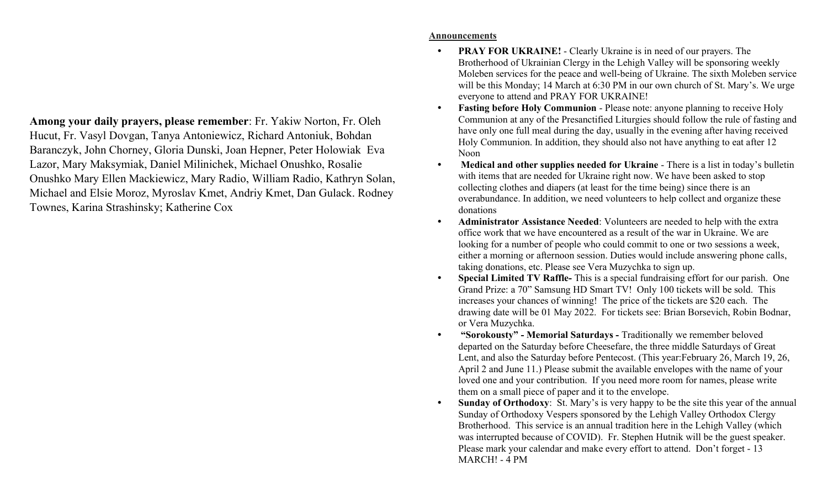Among your daily prayers, please remember: Fr. Yakiw Norton, Fr. Oleh Hucut, Fr. Vasyl Dovgan, Tanya Antoniewicz, Richard Antoniuk, Bohdan Baranczyk, John Chorney, Gloria Dunski, Joan Hepner, Peter Holowiak Eva Lazor, Mary Maksymiak, Daniel Milinichek, Michael Onushko, Rosalie Onushko Mary Ellen Mackiewicz, Mary Radio, William Radio, Kathryn Solan, Michael and Elsie Moroz, Myroslav Kmet, Andriy Kmet, Dan Gulack. Rodney Townes, Karina Strashinsky; Katherine Cox

## Announcements

- PRAY FOR UKRAINE! Clearly Ukraine is in need of our prayers. The Brotherhood of Ukrainian Clergy in the Lehigh Valley will be sponsoring weekly Moleben services for the peace and well-being of Ukraine. The sixth Moleben service will be this Monday; 14 March at 6:30 PM in our own church of St. Mary's. We urge everyone to attend and PRAY FOR UKRAINE!
- Fasting before Holy Communion Please note: anyone planning to receive Holy Communion at any of the Presanctified Liturgies should follow the rule of fasting and have only one full meal during the day, usually in the evening after having received Holy Communion. In addition, they should also not have anything to eat after 12 Noon
- Medical and other supplies needed for Ukraine There is a list in today's bulletin with items that are needed for Ukraine right now. We have been asked to stop collecting clothes and diapers (at least for the time being) since there is an overabundance. In addition, we need volunteers to help collect and organize these donations
- Administrator Assistance Needed: Volunteers are needed to help with the extra office work that we have encountered as a result of the war in Ukraine. We are looking for a number of people who could commit to one or two sessions a week, either a morning or afternoon session. Duties would include answering phone calls, taking donations, etc. Please see Vera Muzychka to sign up.
- Special Limited TV Raffle- This is a special fundraising effort for our parish. One Grand Prize: a 70" Samsung HD Smart TV! Only 100 tickets will be sold. This increases your chances of winning! The price of the tickets are \$20 each. The drawing date will be 01 May 2022. For tickets see: Brian Borsevich, Robin Bodnar, or Vera Muzychka.
- "Sorokousty" Memorial Saturdays Traditionally we remember beloved departed on the Saturday before Cheesefare, the three middle Saturdays of Great Lent, and also the Saturday before Pentecost. (This year:February 26, March 19, 26, April 2 and June 11.) Please submit the available envelopes with the name of your loved one and your contribution. If you need more room for names, please write them on a small piece of paper and it to the envelope.
- Sunday of Orthodoxy: St. Mary's is very happy to be the site this year of the annual Sunday of Orthodoxy Vespers sponsored by the Lehigh Valley Orthodox Clergy Brotherhood. This service is an annual tradition here in the Lehigh Valley (which was interrupted because of COVID). Fr. Stephen Hutnik will be the guest speaker. Please mark your calendar and make every effort to attend. Don't forget - 13 MARCH! - 4 PM